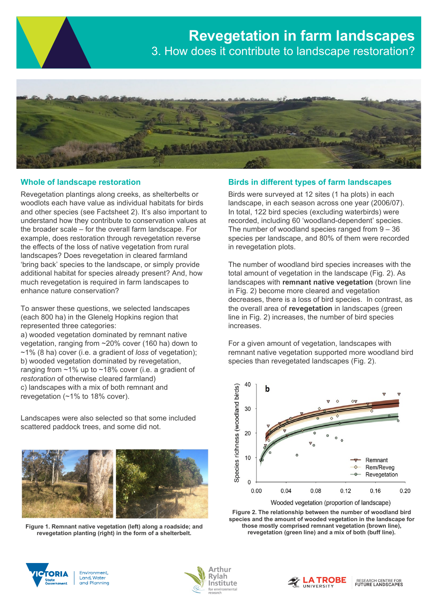

# **Whole of landscape restoration**

Revegetation plantings along creeks, as shelterbelts or woodlots each have value as individual habitats for birds and other species (see Factsheet 2). It's also important to understand how they contribute to conservation values at the broader scale – for the overall farm landscape. For example, does restoration through revegetation reverse the effects of the loss of native vegetation from rural landscapes? Does revegetation in cleared farmland 'bring back' species to the landscape, or simply provide additional habitat for species already present? And, how much revegetation is required in farm landscapes to enhance nature conservation?

To answer these questions, we selected landscapes (each 800 ha) in the Glenelg Hopkins region that represented three categories:

a) wooded vegetation dominated by remnant native vegetation, ranging from ~20% cover (160 ha) down to ~1% (8 ha) cover (i.e. a gradient of *loss* of vegetation); b) wooded vegetation dominated by revegetation, ranging from ~1% up to ~18% cover (i.e. a gradient of *restoration* of otherwise cleared farmland) c) landscapes with a mix of both remnant and revegetation (~1% to 18% cover).

Landscapes were also selected so that some included scattered paddock trees, and some did not.



**Figure 1. Remnant native vegetation (left) along a roadside; and revegetation planting (right) in the form of a shelterbelt.**

# **Birds in different types of farm landscapes**

Birds were surveyed at 12 sites (1 ha plots) in each landscape, in each season across one year (2006/07). In total, 122 bird species (excluding waterbirds) were recorded, including 60 'woodland-dependent' species. The number of woodland species ranged from  $9 - 36$ species per landscape, and 80% of them were recorded in revegetation plots.

The number of woodland bird species increases with the total amount of vegetation in the landscape (Fig. 2). As landscapes with **remnant native vegetation** (brown line in Fig. 2) become more cleared and vegetation decreases, there is a loss of bird species. In contrast, as the overall area of **revegetation** in landscapes (green line in Fig. 2) increases, the number of bird species increases.

For a given amount of vegetation, landscapes with remnant native vegetation supported more woodland bird species than revegetated landscapes (Fig. 2).



**Figure 2. The relationship between the number of woodland bird species and the amount of wooded vegetation in the landscape for those mostly comprised remnant vegetation (brown line), revegetation (green line) and a mix of both (buff line).** 



Environment, Land, Water and Planning